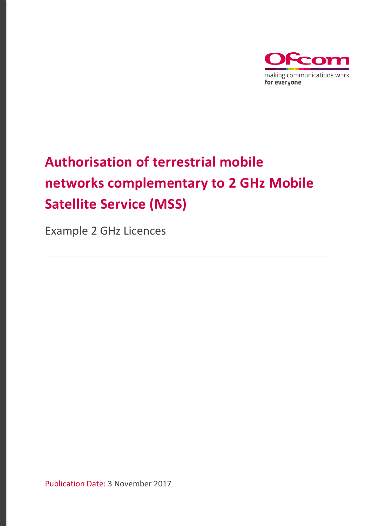

# **Authorisation of terrestrial mobile networks complementary to 2 GHz Mobile Satellite Service (MSS)**

Example 2 GHz Licences

Publication Date: 3 November 2017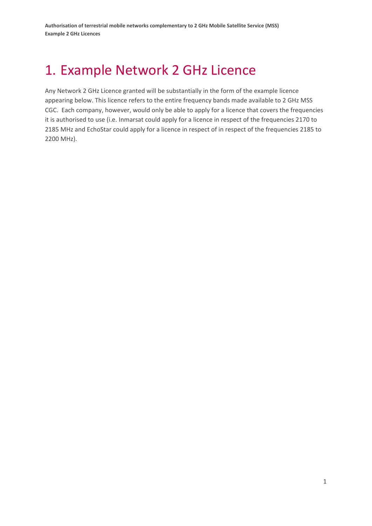## 1. Example Network 2 GHz Licence

Any Network 2 GHz Licence granted will be substantially in the form of the example licence appearing below. This licence refers to the entire frequency bands made available to 2 GHz MSS CGC. Each company, however, would only be able to apply for a licence that covers the frequencies it is authorised to use (i.e. Inmarsat could apply for a licence in respect of the frequencies 2170 to 2185 MHz and EchoStar could apply for a licence in respect of in respect of the frequencies 2185 to 2200 MHz).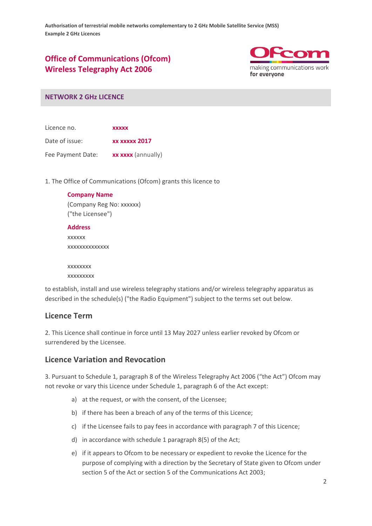## **Office of Communications (Ofcom) Wireless Telegraphy Act 2006**



#### **NETWORK 2 GHz LICENCE**

Licence no. **xxxxx** Date of issue: **xx xxxxx 2017** Fee Payment Date: **xx xxxx** (annually)

1. The Office of Communications (Ofcom) grants this licence to

| <b>Company Name</b>      |  |
|--------------------------|--|
| (Company Reg No: xxxxxx) |  |
| ("the Licensee")         |  |
| <b>Address</b>           |  |
| <b>XXXXXX</b>            |  |
| XXXXXXXXXXXXXX           |  |
|                          |  |
| XXXXXXXX                 |  |

xxxxxxxxx

to establish, install and use wireless telegraphy stations and/or wireless telegraphy apparatus as described in the schedule(s) ("the Radio Equipment") subject to the terms set out below.

#### **Licence Term**

2. This Licence shall continue in force until 13 May 2027 unless earlier revoked by Ofcom or surrendered by the Licensee.

#### **Licence Variation and Revocation**

3. Pursuant to Schedule 1, paragraph 8 of the Wireless Telegraphy Act 2006 ("the Act") Ofcom may not revoke or vary this Licence under Schedule 1, paragraph 6 of the Act except:

- a) at the request, or with the consent, of the Licensee;
- b) if there has been a breach of any of the terms of this Licence;
- c) if the Licensee fails to pay fees in accordance with paragraph 7 of this Licence;
- d) in accordance with schedule 1 paragraph 8(5) of the Act;
- e) if it appears to Ofcom to be necessary or expedient to revoke the Licence for the purpose of complying with a direction by the Secretary of State given to Ofcom under section 5 of the Act or section 5 of the Communications Act 2003;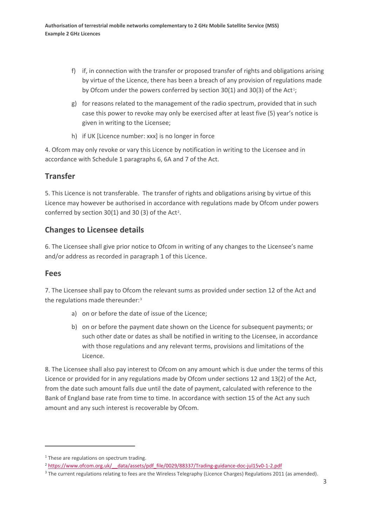- f) if, in connection with the transfer or proposed transfer of rights and obligations arising by virtue of the Licence, there has been a breach of any provision of regulations made by Ofcom under the powers conferred by section  $30(1)$  $30(1)$  $30(1)$  and  $30(3)$  of the Act<sup>1</sup>;
- g) for reasons related to the management of the radio spectrum, provided that in such case this power to revoke may only be exercised after at least five (5) year's notice is given in writing to the Licensee;
- h) if UK [Licence number: xxx] is no longer in force

4. Ofcom may only revoke or vary this Licence by notification in writing to the Licensee and in accordance with Schedule 1 paragraphs 6, 6A and 7 of the Act.

## **Transfer**

5. This Licence is not transferable. The transfer of rights and obligations arising by virtue of this Licence may however be authorised in accordance with regulations made by Ofcom under powers conferred by section  $30(1)$  and  $30(3)$  of the Act<sup>[2](#page-3-1)</sup>.

## **Changes to Licensee details**

6. The Licensee shall give prior notice to Ofcom in writing of any changes to the Licensee's name and/or address as recorded in paragraph 1 of this Licence.

## **Fees**

 $\overline{a}$ 

7. The Licensee shall pay to Ofcom the relevant sums as provided under section 12 of the Act and the regulations made thereunder:[3](#page-3-2)

- a) on or before the date of issue of the Licence;
- b) on or before the payment date shown on the Licence for subsequent payments; or such other date or dates as shall be notified in writing to the Licensee, in accordance with those regulations and any relevant terms, provisions and limitations of the Licence.

8. The Licensee shall also pay interest to Ofcom on any amount which is due under the terms of this Licence or provided for in any regulations made by Ofcom under sections 12 and 13(2) of the Act, from the date such amount falls due until the date of payment, calculated with reference to the Bank of England base rate from time to time. In accordance with section 15 of the Act any such amount and any such interest is recoverable by Ofcom.

<span id="page-3-0"></span><sup>&</sup>lt;sup>1</sup> These are regulations on spectrum trading.

<span id="page-3-1"></span><sup>&</sup>lt;sup>2</sup> https://www.ofcom.org.uk/ data/assets/pdf file/0029/88337/Trading-guidance-doc-jul15v0-1-2.pdf

<span id="page-3-2"></span><sup>&</sup>lt;sup>3</sup> The current regulations relating to fees are the Wireless Telegraphy (Licence Charges) Regulations 2011 (as amended).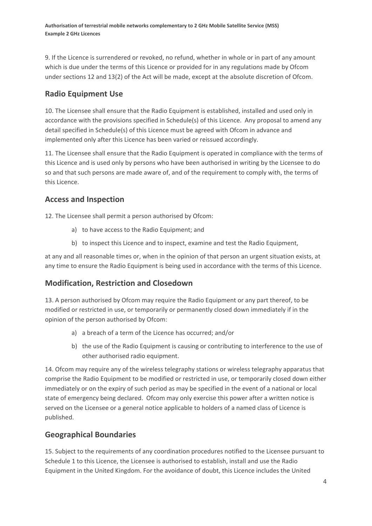9. If the Licence is surrendered or revoked, no refund, whether in whole or in part of any amount which is due under the terms of this Licence or provided for in any regulations made by Ofcom under sections 12 and 13(2) of the Act will be made, except at the absolute discretion of Ofcom.

## **Radio Equipment Use**

10. The Licensee shall ensure that the Radio Equipment is established, installed and used only in accordance with the provisions specified in Schedule(s) of this Licence. Any proposal to amend any detail specified in Schedule(s) of this Licence must be agreed with Ofcom in advance and implemented only after this Licence has been varied or reissued accordingly.

11. The Licensee shall ensure that the Radio Equipment is operated in compliance with the terms of this Licence and is used only by persons who have been authorised in writing by the Licensee to do so and that such persons are made aware of, and of the requirement to comply with, the terms of this Licence.

## **Access and Inspection**

12. The Licensee shall permit a person authorised by Ofcom:

- a) to have access to the Radio Equipment; and
- b) to inspect this Licence and to inspect, examine and test the Radio Equipment,

at any and all reasonable times or, when in the opinion of that person an urgent situation exists, at any time to ensure the Radio Equipment is being used in accordance with the terms of this Licence.

## **Modification, Restriction and Closedown**

13. A person authorised by Ofcom may require the Radio Equipment or any part thereof, to be modified or restricted in use, or temporarily or permanently closed down immediately if in the opinion of the person authorised by Ofcom:

- a) a breach of a term of the Licence has occurred; and/or
- b) the use of the Radio Equipment is causing or contributing to interference to the use of other authorised radio equipment.

14. Ofcom may require any of the wireless telegraphy stations or wireless telegraphy apparatus that comprise the Radio Equipment to be modified or restricted in use, or temporarily closed down either immediately or on the expiry of such period as may be specified in the event of a national or local state of emergency being declared. Ofcom may only exercise this power after a written notice is served on the Licensee or a general notice applicable to holders of a named class of Licence is published.

## **Geographical Boundaries**

15. Subject to the requirements of any coordination procedures notified to the Licensee pursuant to Schedule 1 to this Licence, the Licensee is authorised to establish, install and use the Radio Equipment in the United Kingdom. For the avoidance of doubt, this Licence includes the United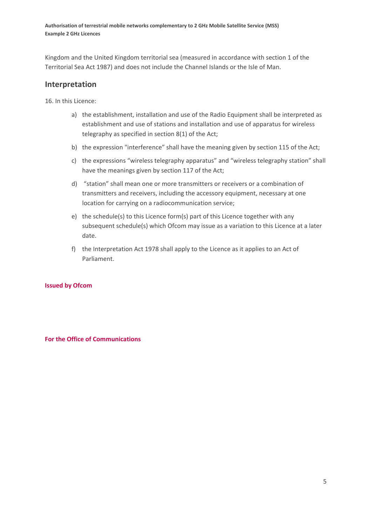Kingdom and the United Kingdom territorial sea (measured in accordance with section 1 of the Territorial Sea Act 1987) and does not include the Channel Islands or the Isle of Man.

#### **Interpretation**

16. In this Licence:

- a) the establishment, installation and use of the Radio Equipment shall be interpreted as establishment and use of stations and installation and use of apparatus for wireless telegraphy as specified in section 8(1) of the Act;
- b) the expression "interference" shall have the meaning given by section 115 of the Act;
- c) the expressions "wireless telegraphy apparatus" and "wireless telegraphy station" shall have the meanings given by section 117 of the Act;
- d) "station" shall mean one or more transmitters or receivers or a combination of transmitters and receivers, including the accessory equipment, necessary at one location for carrying on a radiocommunication service;
- e) the schedule(s) to this Licence form(s) part of this Licence together with any subsequent schedule(s) which Ofcom may issue as a variation to this Licence at a later date.
- f) the Interpretation Act 1978 shall apply to the Licence as it applies to an Act of Parliament.

#### **Issued by Ofcom**

**For the Office of Communications**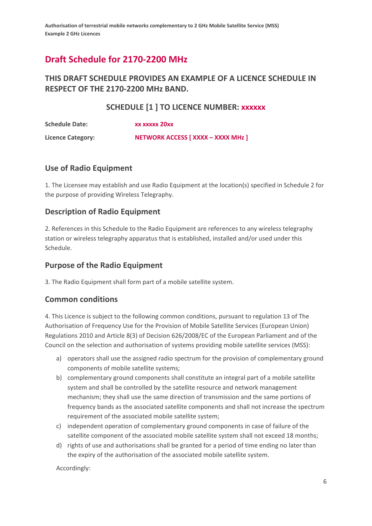## **Draft Schedule for 2170-2200 MHz**

## **THIS DRAFT SCHEDULE PROVIDES AN EXAMPLE OF A LICENCE SCHEDULE IN RESPECT OF THE 2170-2200 MHz BAND.**

#### **SCHEDULE [1 ] TO LICENCE NUMBER: xxxxxx**

| <b>Schedule Date:</b>    | XX XXXXX 20XX                      |
|--------------------------|------------------------------------|
| <b>Licence Category:</b> | NETWORK ACCESS [ XXXX - XXXX MHz ] |

#### **Use of Radio Equipment**

1. The Licensee may establish and use Radio Equipment at the location(s) specified in Schedule 2 for the purpose of providing Wireless Telegraphy.

#### **Description of Radio Equipment**

2. References in this Schedule to the Radio Equipment are references to any wireless telegraphy station or wireless telegraphy apparatus that is established, installed and/or used under this Schedule.

## **Purpose of the Radio Equipment**

3. The Radio Equipment shall form part of a mobile satellite system.

#### **Common conditions**

4. This Licence is subject to the following common conditions, pursuant to regulation 13 of The Authorisation of Frequency Use for the Provision of Mobile Satellite Services (European Union) Regulations 2010 and Article 8(3) of Decision 626/2008/EC of the European Parliament and of the Council on the selection and authorisation of systems providing mobile satellite services (MSS):

- a) operators shall use the assigned radio spectrum for the provision of complementary ground components of mobile satellite systems;
- b) complementary ground components shall constitute an integral part of a mobile satellite system and shall be controlled by the satellite resource and network management mechanism; they shall use the same direction of transmission and the same portions of frequency bands as the associated satellite components and shall not increase the spectrum requirement of the associated mobile satellite system;
- c) independent operation of complementary ground components in case of failure of the satellite component of the associated mobile satellite system shall not exceed 18 months;
- d) rights of use and authorisations shall be granted for a period of time ending no later than the expiry of the authorisation of the associated mobile satellite system.

Accordingly: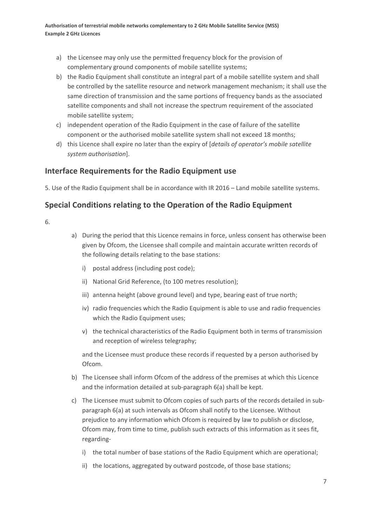- a) the Licensee may only use the permitted frequency block for the provision of complementary ground components of mobile satellite systems;
- b) the Radio Equipment shall constitute an integral part of a mobile satellite system and shall be controlled by the satellite resource and network management mechanism; it shall use the same direction of transmission and the same portions of frequency bands as the associated satellite components and shall not increase the spectrum requirement of the associated mobile satellite system;
- c) independent operation of the Radio Equipment in the case of failure of the satellite component or the authorised mobile satellite system shall not exceed 18 months;
- d) this Licence shall expire no later than the expiry of [*details of operator's mobile satellite system authorisation*].

## **Interface Requirements for the Radio Equipment use**

5. Use of the Radio Equipment shall be in accordance with IR 2016 – Land mobile satellite systems.

## **Special Conditions relating to the Operation of the Radio Equipment**

6.

- a) During the period that this Licence remains in force, unless consent has otherwise been given by Ofcom, the Licensee shall compile and maintain accurate written records of the following details relating to the base stations:
	- i) postal address (including post code);
	- ii) National Grid Reference, (to 100 metres resolution);
	- iii) antenna height (above ground level) and type, bearing east of true north;
	- iv) radio frequencies which the Radio Equipment is able to use and radio frequencies which the Radio Equipment uses;
	- v) the technical characteristics of the Radio Equipment both in terms of transmission and reception of wireless telegraphy;

and the Licensee must produce these records if requested by a person authorised by Ofcom.

- b) The Licensee shall inform Ofcom of the address of the premises at which this Licence and the information detailed at sub-paragraph 6(a) shall be kept.
- c) The Licensee must submit to Ofcom copies of such parts of the records detailed in subparagraph 6(a) at such intervals as Ofcom shall notify to the Licensee. Without prejudice to any information which Ofcom is required by law to publish or disclose, Ofcom may, from time to time, publish such extracts of this information as it sees fit, regarding
	- i) the total number of base stations of the Radio Equipment which are operational;
	- ii) the locations, aggregated by outward postcode, of those base stations;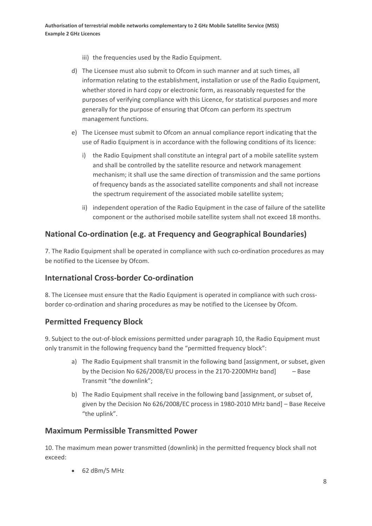- iii) the frequencies used by the Radio Equipment.
- d) The Licensee must also submit to Ofcom in such manner and at such times, all information relating to the establishment, installation or use of the Radio Equipment, whether stored in hard copy or electronic form, as reasonably requested for the purposes of verifying compliance with this Licence, for statistical purposes and more generally for the purpose of ensuring that Ofcom can perform its spectrum management functions.
- e) The Licensee must submit to Ofcom an annual compliance report indicating that the use of Radio Equipment is in accordance with the following conditions of its licence:
	- i) the Radio Equipment shall constitute an integral part of a mobile satellite system and shall be controlled by the satellite resource and network management mechanism; it shall use the same direction of transmission and the same portions of frequency bands as the associated satellite components and shall not increase the spectrum requirement of the associated mobile satellite system;
	- ii) independent operation of the Radio Equipment in the case of failure of the satellite component or the authorised mobile satellite system shall not exceed 18 months.

## **National Co-ordination (e.g. at Frequency and Geographical Boundaries)**

7. The Radio Equipment shall be operated in compliance with such co-ordination procedures as may be notified to the Licensee by Ofcom.

## **International Cross-border Co-ordination**

8. The Licensee must ensure that the Radio Equipment is operated in compliance with such crossborder co-ordination and sharing procedures as may be notified to the Licensee by Ofcom.

## **Permitted Frequency Block**

9. Subject to the out-of-block emissions permitted under paragraph 10, the Radio Equipment must only transmit in the following frequency band the "permitted frequency block":

- a) The Radio Equipment shall transmit in the following band [assignment, or subset, given by the Decision No 626/2008/EU process in the 2170-2200MHz band] – Base Transmit "the downlink";
- b) The Radio Equipment shall receive in the following band [assignment, or subset of, given by the Decision No 626/2008/EC process in 1980-2010 MHz band] – Base Receive "the uplink".

#### **Maximum Permissible Transmitted Power**

10. The maximum mean power transmitted (downlink) in the permitted frequency block shall not exceed:

• 62 dBm/5 MHz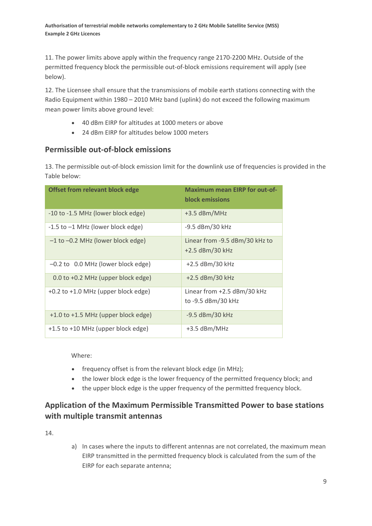11. The power limits above apply within the frequency range 2170-2200 MHz. Outside of the permitted frequency block the permissible out-of-block emissions requirement will apply (see below).

12. The Licensee shall ensure that the transmissions of mobile earth stations connecting with the Radio Equipment within 1980 – 2010 MHz band (uplink) do not exceed the following maximum mean power limits above ground level:

- 40 dBm EIRP for altitudes at 1000 meters or above
- 24 dBm EIRP for altitudes below 1000 meters

## **Permissible out-of-block emissions**

13. The permissible out-of-block emission limit for the downlink use of frequencies is provided in the Table below:

| <b>Offset from relevant block edge</b>  | <b>Maximum mean EIRP for out-of-</b><br><b>block emissions</b> |
|-----------------------------------------|----------------------------------------------------------------|
| -10 to -1.5 MHz (lower block edge)      | $+3.5$ dBm/MHz                                                 |
| $-1.5$ to $-1$ MHz (lower block edge)   | -9.5 dBm/30 kHz                                                |
| -1 to -0.2 MHz (lower block edge)       | Linear from -9.5 dBm/30 kHz to<br>$+2.5$ dBm/30 kHz            |
| -0.2 to 0.0 MHz (lower block edge)      | +2.5 dBm/30 kHz                                                |
| 0.0 to +0.2 MHz (upper block edge)      | +2.5 dBm/30 kHz                                                |
| $+0.2$ to $+1.0$ MHz (upper block edge) | Linear from $+2.5$ dBm/30 kHz<br>to -9.5 dBm/30 kHz            |
| +1.0 to +1.5 MHz (upper block edge)     | -9.5 dBm/30 kHz                                                |
| +1.5 to +10 MHz (upper block edge)      | $+3.5$ dBm/MHz                                                 |

Where:

- frequency offset is from the relevant block edge (in MHz);
- the lower block edge is the lower frequency of the permitted frequency block; and
- the upper block edge is the upper frequency of the permitted frequency block.

## **Application of the Maximum Permissible Transmitted Power to base stations with multiple transmit antennas**

14.

a) In cases where the inputs to different antennas are not correlated, the maximum mean EIRP transmitted in the permitted frequency block is calculated from the sum of the EIRP for each separate antenna;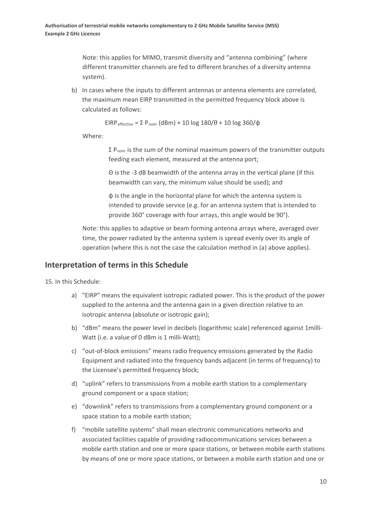Note: this applies for MIMO, transmit diversity and "antenna combining" (where different transmitter channels are fed to different branches of a diversity antenna system).

b) In cases where the inputs to different antennas or antenna elements are correlated, the maximum mean EIRP transmitted in the permitted frequency block above is calculated as follows:

EIRP<sub>effective</sub> = Σ P<sub>nom</sub> (dBm) + 10 log 180/θ + 10 log 360/φ

Where:

 $\Sigma$  P<sub>nom</sub> is the sum of the nominal maximum powers of the transmitter outputs feeding each element, measured at the antenna port;

Θ is the -3 dB beamwidth of the antenna array in the vertical plane (if this beamwidth can vary, the minimum value should be used); and

φ is the angle in the horizontal plane for which the antenna system is intended to provide service (e.g. for an antenna system that is intended to provide 360° coverage with four arrays, this angle would be 90°).

Note: this applies to adaptive or beam forming antenna arrays where, averaged over time, the power radiated by the antenna system is spread evenly over its angle of operation (where this is not the case the calculation method in (a) above applies).

#### **Interpretation of terms in this Schedule**

15. In this Schedule:

- a) "EIRP" means the equivalent isotropic radiated power. This is the product of the power supplied to the antenna and the antenna gain in a given direction relative to an isotropic antenna (absolute or isotropic gain);
- b) "dBm" means the power level in decibels (logarithmic scale) referenced against 1milli-Watt (i.e. a value of 0 dBm is 1 milli-Watt);
- c) "out-of-block emissions" means radio frequency emissions generated by the Radio Equipment and radiated into the frequency bands adjacent (in terms of frequency) to the Licensee's permitted frequency block;
- d) "uplink" refers to transmissions from a mobile earth station to a complementary ground component or a space station;
- e) "downlink" refers to transmissions from a complementary ground component or a space station to a mobile earth station;
- f) "mobile satellite systems" shall mean electronic communications networks and associated facilities capable of providing radiocommunications services between a mobile earth station and one or more space stations, or between mobile earth stations by means of one or more space stations, or between a mobile earth station and one or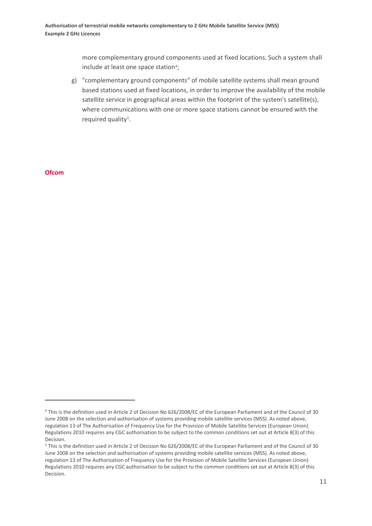more complementary ground components used at fixed locations. Such a system shall include at least one space station<sup>4</sup>;

g) "complementary ground components" of mobile satellite systems shall mean ground based stations used at fixed locations, in order to improve the availability of the mobile satellite service in geographical areas within the footprint of the system's satellite(s), where communications with one or more space stations cannot be ensured with the required quality<sup>5</sup>.

**Ofcom**

**.** 

<span id="page-11-0"></span><sup>4</sup> This is the definition used in Article 2 of Decision No 626/2008/EC of the European Parliament and of the Council of 30 June 2008 on the selection and authorisation of systems providing mobile satellite services (MSS). As noted above, regulation 13 of The Authorisation of Frequency Use for the Provision of Mobile Satellite Services (European Union) Regulations 2010 requires any CGC authorisation to be subject to the common conditions set out at Article 8(3) of this Decision.

<span id="page-11-1"></span><sup>5</sup> This is the definition used in Article 2 of Decision No 626/2008/EC of the European Parliament and of the Council of 30 June 2008 on the selection and authorisation of systems providing mobile satellite services (MSS). As noted above, regulation 13 of The Authorisation of Frequency Use for the Provision of Mobile Satellite Services (European Union) Regulations 2010 requires any CGC authorisation to be subject to the common conditions set out at Article 8(3) of this Decision.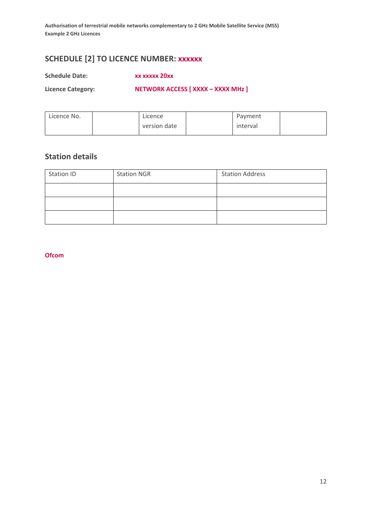## **SCHEDULE [2] TO LICENCE NUMBER: xxxxxx**

**Schedule Date: xx xxxxx 20xx**

**Licence Category: NETWORK ACCESS [ XXXX – XXXX MHz ]**

| Licence No. | Licence      | Payment  |  |
|-------------|--------------|----------|--|
|             | version date | interval |  |

## **Station details**

| Station ID | <b>Station NGR</b> | <b>Station Address</b> |
|------------|--------------------|------------------------|
|            |                    |                        |
|            |                    |                        |
|            |                    |                        |

**Ofcom**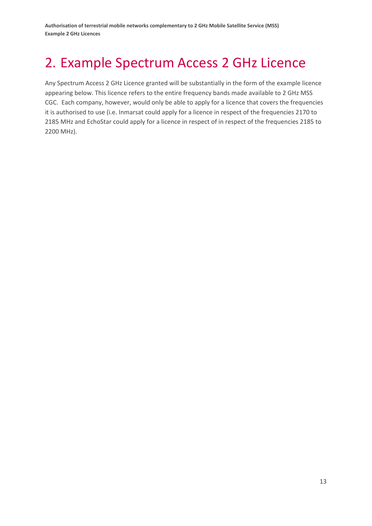## 2. Example Spectrum Access 2 GHz Licence

Any Spectrum Access 2 GHz Licence granted will be substantially in the form of the example licence appearing below. This licence refers to the entire frequency bands made available to 2 GHz MSS CGC. Each company, however, would only be able to apply for a licence that covers the frequencies it is authorised to use (i.e. Inmarsat could apply for a licence in respect of the frequencies 2170 to 2185 MHz and EchoStar could apply for a licence in respect of in respect of the frequencies 2185 to 2200 MHz).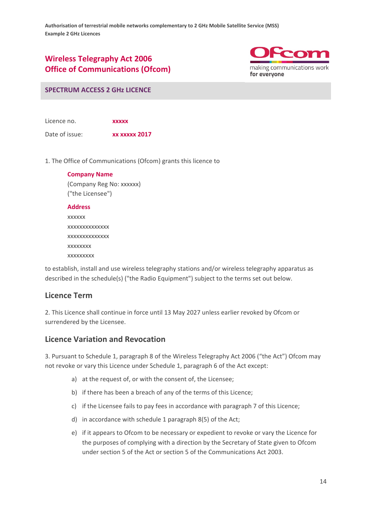## **Wireless Telegraphy Act 2006 Office of Communications (Ofcom)**



#### **SPECTRUM ACCESS 2 GHz LICENCE**

Licence no. **xxxxx** Date of issue: **xx xxxxx 2017**

1. The Office of Communications (Ofcom) grants this licence to

**Company Name** (Company Reg No: xxxxxx) ("the Licensee")

#### **Address**

xxxxxx xxxxxxxxxxxxxx xxxxxxxxxxxxxx xxxxxxxx xxxxxxxxx

to establish, install and use wireless telegraphy stations and/or wireless telegraphy apparatus as described in the schedule(s) ("the Radio Equipment") subject to the terms set out below.

#### **Licence Term**

2. This Licence shall continue in force until 13 May 2027 unless earlier revoked by Ofcom or surrendered by the Licensee.

#### **Licence Variation and Revocation**

3. Pursuant to Schedule 1, paragraph 8 of the Wireless Telegraphy Act 2006 ("the Act") Ofcom may not revoke or vary this Licence under Schedule 1, paragraph 6 of the Act except:

- a) at the request of, or with the consent of, the Licensee;
- b) if there has been a breach of any of the terms of this Licence;
- c) if the Licensee fails to pay fees in accordance with paragraph 7 of this Licence;
- d) in accordance with schedule 1 paragraph 8(5) of the Act;
- e) if it appears to Ofcom to be necessary or expedient to revoke or vary the Licence for the purposes of complying with a direction by the Secretary of State given to Ofcom under section 5 of the Act or section 5 of the Communications Act 2003.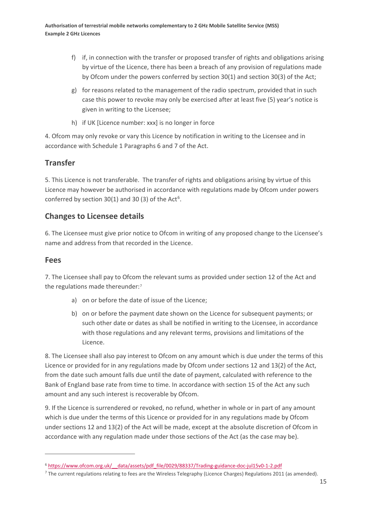- f) if, in connection with the transfer or proposed transfer of rights and obligations arising by virtue of the Licence, there has been a breach of any provision of regulations made by Ofcom under the powers conferred by section 30(1) and section 30(3) of the Act;
- g) for reasons related to the management of the radio spectrum, provided that in such case this power to revoke may only be exercised after at least five (5) year's notice is given in writing to the Licensee;
- h) if UK [Licence number: xxx] is no longer in force

4. Ofcom may only revoke or vary this Licence by notification in writing to the Licensee and in accordance with Schedule 1 Paragraphs 6 and 7 of the Act.

## **Transfer**

5. This Licence is not transferable. The transfer of rights and obligations arising by virtue of this Licence may however be authorised in accordance with regulations made by Ofcom under powers conferred by section  $30(1)$  and 30 (3) of the Act<sup>[6](#page-15-0)</sup>.

## **Changes to Licensee details**

6. The Licensee must give prior notice to Ofcom in writing of any proposed change to the Licensee's name and address from that recorded in the Licence.

#### **Fees**

 $\overline{a}$ 

7. The Licensee shall pay to Ofcom the relevant sums as provided under section 12 of the Act and the regulations made thereunder:[7](#page-15-1)

- a) on or before the date of issue of the Licence;
- b) on or before the payment date shown on the Licence for subsequent payments; or such other date or dates as shall be notified in writing to the Licensee, in accordance with those regulations and any relevant terms, provisions and limitations of the Licence.

8. The Licensee shall also pay interest to Ofcom on any amount which is due under the terms of this Licence or provided for in any regulations made by Ofcom under sections 12 and 13(2) of the Act, from the date such amount falls due until the date of payment, calculated with reference to the Bank of England base rate from time to time. In accordance with section 15 of the Act any such amount and any such interest is recoverable by Ofcom.

9. If the Licence is surrendered or revoked, no refund, whether in whole or in part of any amount which is due under the terms of this Licence or provided for in any regulations made by Ofcom under sections 12 and 13(2) of the Act will be made, except at the absolute discretion of Ofcom in accordance with any regulation made under those sections of the Act (as the case may be).

<span id="page-15-0"></span><sup>6</sup> [https://www.ofcom.org.uk/\\_\\_data/assets/pdf\\_file/0029/88337/Trading-guidance-doc-jul15v0-1-2.pdf](https://www.ofcom.org.uk/__data/assets/pdf_file/0029/88337/Trading-guidance-doc-jul15v0-1-2.pdf) 

<span id="page-15-1"></span><sup>&</sup>lt;sup>7</sup> The current regulations relating to fees are the Wireless Telegraphy (Licence Charges) Regulations 2011 (as amended).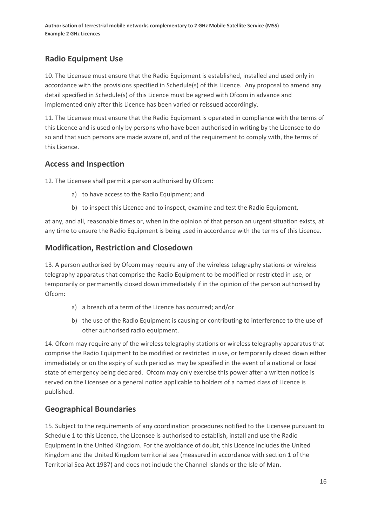## **Radio Equipment Use**

10. The Licensee must ensure that the Radio Equipment is established, installed and used only in accordance with the provisions specified in Schedule(s) of this Licence. Any proposal to amend any detail specified in Schedule(s) of this Licence must be agreed with Ofcom in advance and implemented only after this Licence has been varied or reissued accordingly.

11. The Licensee must ensure that the Radio Equipment is operated in compliance with the terms of this Licence and is used only by persons who have been authorised in writing by the Licensee to do so and that such persons are made aware of, and of the requirement to comply with, the terms of this Licence.

## **Access and Inspection**

12. The Licensee shall permit a person authorised by Ofcom:

- a) to have access to the Radio Equipment; and
- b) to inspect this Licence and to inspect, examine and test the Radio Equipment,

at any, and all, reasonable times or, when in the opinion of that person an urgent situation exists, at any time to ensure the Radio Equipment is being used in accordance with the terms of this Licence.

## **Modification, Restriction and Closedown**

13. A person authorised by Ofcom may require any of the wireless telegraphy stations or wireless telegraphy apparatus that comprise the Radio Equipment to be modified or restricted in use, or temporarily or permanently closed down immediately if in the opinion of the person authorised by Ofcom:

- a) a breach of a term of the Licence has occurred; and/or
- b) the use of the Radio Equipment is causing or contributing to interference to the use of other authorised radio equipment.

14. Ofcom may require any of the wireless telegraphy stations or wireless telegraphy apparatus that comprise the Radio Equipment to be modified or restricted in use, or temporarily closed down either immediately or on the expiry of such period as may be specified in the event of a national or local state of emergency being declared. Ofcom may only exercise this power after a written notice is served on the Licensee or a general notice applicable to holders of a named class of Licence is published.

## **Geographical Boundaries**

15. Subject to the requirements of any coordination procedures notified to the Licensee pursuant to Schedule 1 to this Licence, the Licensee is authorised to establish, install and use the Radio Equipment in the United Kingdom. For the avoidance of doubt, this Licence includes the United Kingdom and the United Kingdom territorial sea (measured in accordance with section 1 of the Territorial Sea Act 1987) and does not include the Channel Islands or the Isle of Man.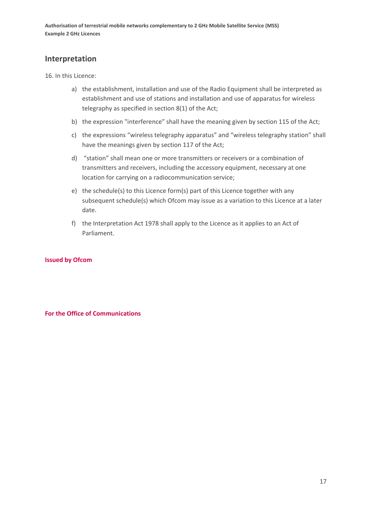#### **Interpretation**

16. In this Licence:

- a) the establishment, installation and use of the Radio Equipment shall be interpreted as establishment and use of stations and installation and use of apparatus for wireless telegraphy as specified in section 8(1) of the Act;
- b) the expression "interference" shall have the meaning given by section 115 of the Act;
- c) the expressions "wireless telegraphy apparatus" and "wireless telegraphy station" shall have the meanings given by section 117 of the Act;
- d) "station" shall mean one or more transmitters or receivers or a combination of transmitters and receivers, including the accessory equipment, necessary at one location for carrying on a radiocommunication service;
- e) the schedule(s) to this Licence form(s) part of this Licence together with any subsequent schedule(s) which Ofcom may issue as a variation to this Licence at a later date.
- f) the Interpretation Act 1978 shall apply to the Licence as it applies to an Act of Parliament.

#### **Issued by Ofcom**

**For the Office of Communications**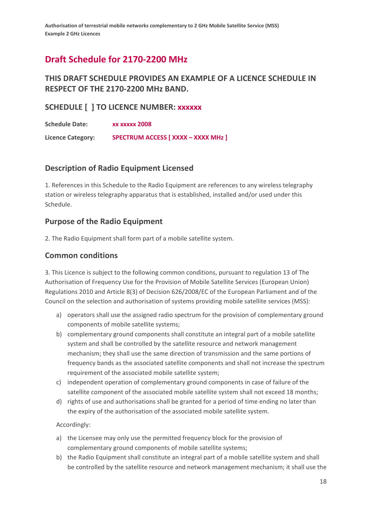## **Draft Schedule for 2170-2200 MHz**

## **THIS DRAFT SCHEDULE PROVIDES AN EXAMPLE OF A LICENCE SCHEDULE IN RESPECT OF THE 2170-2200 MHz BAND.**

#### **SCHEDULE [ ] TO LICENCE NUMBER: xxxxxx**

**Schedule Date: xx xxxxx 2008 Licence Category: SPECTRUM ACCESS [ XXXX – XXXX MHz ]**

#### **Description of Radio Equipment Licensed**

1. References in this Schedule to the Radio Equipment are references to any wireless telegraphy station or wireless telegraphy apparatus that is established, installed and/or used under this Schedule.

#### **Purpose of the Radio Equipment**

2. The Radio Equipment shall form part of a mobile satellite system.

#### **Common conditions**

3. This Licence is subject to the following common conditions, pursuant to regulation 13 of The Authorisation of Frequency Use for the Provision of Mobile Satellite Services (European Union) Regulations 2010 and Article 8(3) of Decision 626/2008/EC of the European Parliament and of the Council on the selection and authorisation of systems providing mobile satellite services (MSS):

- a) operators shall use the assigned radio spectrum for the provision of complementary ground components of mobile satellite systems;
- b) complementary ground components shall constitute an integral part of a mobile satellite system and shall be controlled by the satellite resource and network management mechanism; they shall use the same direction of transmission and the same portions of frequency bands as the associated satellite components and shall not increase the spectrum requirement of the associated mobile satellite system;
- c) independent operation of complementary ground components in case of failure of the satellite component of the associated mobile satellite system shall not exceed 18 months;
- d) rights of use and authorisations shall be granted for a period of time ending no later than the expiry of the authorisation of the associated mobile satellite system.

Accordingly:

- a) the Licensee may only use the permitted frequency block for the provision of complementary ground components of mobile satellite systems;
- b) the Radio Equipment shall constitute an integral part of a mobile satellite system and shall be controlled by the satellite resource and network management mechanism; it shall use the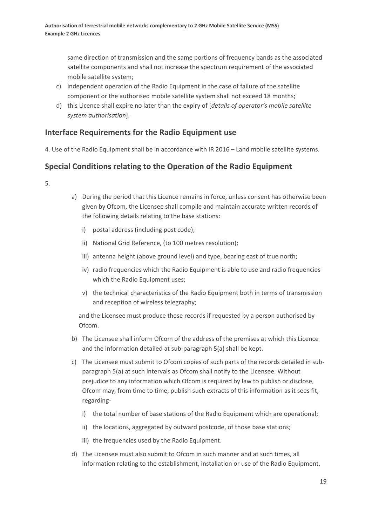same direction of transmission and the same portions of frequency bands as the associated satellite components and shall not increase the spectrum requirement of the associated mobile satellite system;

- c) independent operation of the Radio Equipment in the case of failure of the satellite component or the authorised mobile satellite system shall not exceed 18 months;
- d) this Licence shall expire no later than the expiry of [*details of operator's mobile satellite system authorisation*].

## **Interface Requirements for the Radio Equipment use**

4. Use of the Radio Equipment shall be in accordance with IR 2016 – Land mobile satellite systems.

## **Special Conditions relating to the Operation of the Radio Equipment**

5.

- a) During the period that this Licence remains in force, unless consent has otherwise been given by Ofcom, the Licensee shall compile and maintain accurate written records of the following details relating to the base stations:
	- i) postal address (including post code);
	- ii) National Grid Reference, (to 100 metres resolution);
	- iii) antenna height (above ground level) and type, bearing east of true north;
	- iv) radio frequencies which the Radio Equipment is able to use and radio frequencies which the Radio Equipment uses;
	- v) the technical characteristics of the Radio Equipment both in terms of transmission and reception of wireless telegraphy;

and the Licensee must produce these records if requested by a person authorised by Ofcom.

- b) The Licensee shall inform Ofcom of the address of the premises at which this Licence and the information detailed at sub-paragraph 5(a) shall be kept.
- c) The Licensee must submit to Ofcom copies of such parts of the records detailed in subparagraph 5(a) at such intervals as Ofcom shall notify to the Licensee. Without prejudice to any information which Ofcom is required by law to publish or disclose, Ofcom may, from time to time, publish such extracts of this information as it sees fit, regarding
	- i) the total number of base stations of the Radio Equipment which are operational;
	- ii) the locations, aggregated by outward postcode, of those base stations;
	- iii) the frequencies used by the Radio Equipment.
- d) The Licensee must also submit to Ofcom in such manner and at such times, all information relating to the establishment, installation or use of the Radio Equipment,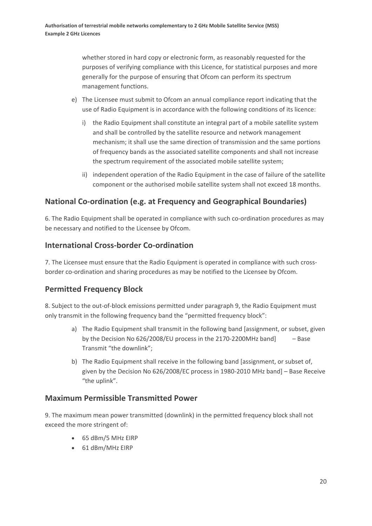whether stored in hard copy or electronic form, as reasonably requested for the purposes of verifying compliance with this Licence, for statistical purposes and more generally for the purpose of ensuring that Ofcom can perform its spectrum management functions.

- e) The Licensee must submit to Ofcom an annual compliance report indicating that the use of Radio Equipment is in accordance with the following conditions of its licence:
	- i) the Radio Equipment shall constitute an integral part of a mobile satellite system and shall be controlled by the satellite resource and network management mechanism; it shall use the same direction of transmission and the same portions of frequency bands as the associated satellite components and shall not increase the spectrum requirement of the associated mobile satellite system;
	- ii) independent operation of the Radio Equipment in the case of failure of the satellite component or the authorised mobile satellite system shall not exceed 18 months.

## **National Co-ordination (e.g. at Frequency and Geographical Boundaries)**

6. The Radio Equipment shall be operated in compliance with such co-ordination procedures as may be necessary and notified to the Licensee by Ofcom.

## **International Cross-border Co-ordination**

7. The Licensee must ensure that the Radio Equipment is operated in compliance with such crossborder co-ordination and sharing procedures as may be notified to the Licensee by Ofcom.

## **Permitted Frequency Block**

8. Subject to the out-of-block emissions permitted under paragraph 9, the Radio Equipment must only transmit in the following frequency band the "permitted frequency block":

- a) The Radio Equipment shall transmit in the following band [assignment, or subset, given by the Decision No  $626/2008/EU$  process in the 2170-2200MHz band]  $-$  Base Transmit "the downlink";
- b) The Radio Equipment shall receive in the following band [assignment, or subset of, given by the Decision No 626/2008/EC process in 1980-2010 MHz band] – Base Receive "the uplink".

#### **Maximum Permissible Transmitted Power**

9. The maximum mean power transmitted (downlink) in the permitted frequency block shall not exceed the more stringent of:

- 65 dBm/5 MHz EIRP
- 61 dBm/MHz EIRP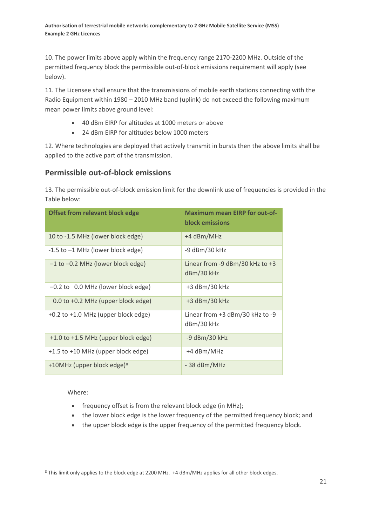10. The power limits above apply within the frequency range 2170-2200 MHz. Outside of the permitted frequency block the permissible out-of-block emissions requirement will apply (see below).

11. The Licensee shall ensure that the transmissions of mobile earth stations connecting with the Radio Equipment within 1980 – 2010 MHz band (uplink) do not exceed the following maximum mean power limits above ground level:

- 40 dBm EIRP for altitudes at 1000 meters or above
- 24 dBm EIRP for altitudes below 1000 meters

12. Where technologies are deployed that actively transmit in bursts then the above limits shall be applied to the active part of the transmission.

## **Permissible out-of-block emissions**

13. The permissible out-of-block emission limit for the downlink use of frequencies is provided in the Table below:

| <b>Offset from relevant block edge</b> | <b>Maximum mean EIRP for out-of-</b><br><b>block emissions</b> |
|----------------------------------------|----------------------------------------------------------------|
| 10 to -1.5 MHz (lower block edge)      | +4 dBm/MHz                                                     |
| -1.5 to -1 MHz (lower block edge)      | -9 dBm/30 kHz                                                  |
| $-1$ to $-0.2$ MHz (lower block edge)  | Linear from $-9$ dBm/30 kHz to $+3$<br>dBm/30 kHz              |
| $-0.2$ to 0.0 MHz (lower block edge)   | +3 dBm/30 kHz                                                  |
| 0.0 to +0.2 MHz (upper block edge)     | $+3$ dBm/30 kHz                                                |
| +0.2 to +1.0 MHz (upper block edge)    | Linear from $+3$ dBm/30 kHz to -9<br>dBm/30 kHz                |
| +1.0 to +1.5 MHz (upper block edge)    | -9 dBm/30 kHz                                                  |
| +1.5 to +10 MHz (upper block edge)     | +4 dBm/MHz                                                     |
| +10MHz (upper block edge) <sup>8</sup> | $-38$ dBm/MHz                                                  |

Where:

 $\overline{a}$ 

- frequency offset is from the relevant block edge (in MHz);
- the lower block edge is the lower frequency of the permitted frequency block; and
- the upper block edge is the upper frequency of the permitted frequency block.

<span id="page-21-0"></span><sup>8</sup> This limit only applies to the block edge at 2200 MHz. +4 dBm/MHz applies for all other block edges.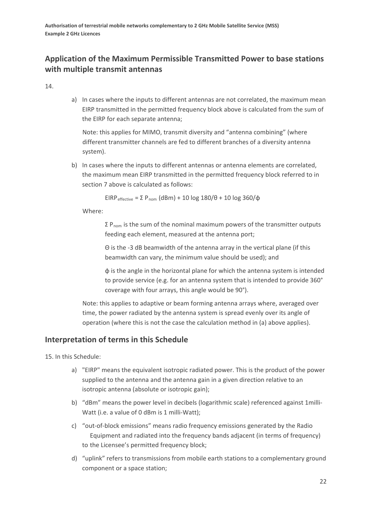## **Application of the Maximum Permissible Transmitted Power to base stations with multiple transmit antennas**

14.

a) In cases where the inputs to different antennas are not correlated, the maximum mean EIRP transmitted in the permitted frequency block above is calculated from the sum of the EIRP for each separate antenna;

Note: this applies for MIMO, transmit diversity and "antenna combining" (where different transmitter channels are fed to different branches of a diversity antenna system).

b) In cases where the inputs to different antennas or antenna elements are correlated, the maximum mean EIRP transmitted in the permitted frequency block referred to in section 7 above is calculated as follows:

EIRP<sub>effective</sub> =  $\Sigma P_{\text{nom}}$  (dBm) + 10 log 180/ $\theta$  + 10 log 360/ $\phi$ 

Where:

 $Σ$  P<sub>nom</sub> is the sum of the nominal maximum powers of the transmitter outputs feeding each element, measured at the antenna port;

Θ is the -3 dB beamwidth of the antenna array in the vertical plane (if this beamwidth can vary, the minimum value should be used); and

φ is the angle in the horizontal plane for which the antenna system is intended to provide service (e.g. for an antenna system that is intended to provide 360° coverage with four arrays, this angle would be 90°).

Note: this applies to adaptive or beam forming antenna arrays where, averaged over time, the power radiated by the antenna system is spread evenly over its angle of operation (where this is not the case the calculation method in (a) above applies).

#### **Interpretation of terms in this Schedule**

15. In this Schedule:

- a) "EIRP" means the equivalent isotropic radiated power. This is the product of the power supplied to the antenna and the antenna gain in a given direction relative to an isotropic antenna (absolute or isotropic gain);
- b) "dBm" means the power level in decibels (logarithmic scale) referenced against 1milli-Watt (i.e. a value of 0 dBm is 1 milli-Watt);
- c) "out-of-block emissions" means radio frequency emissions generated by the Radio Equipment and radiated into the frequency bands adjacent (in terms of frequency) to the Licensee's permitted frequency block;
- d) "uplink" refers to transmissions from mobile earth stations to a complementary ground component or a space station;